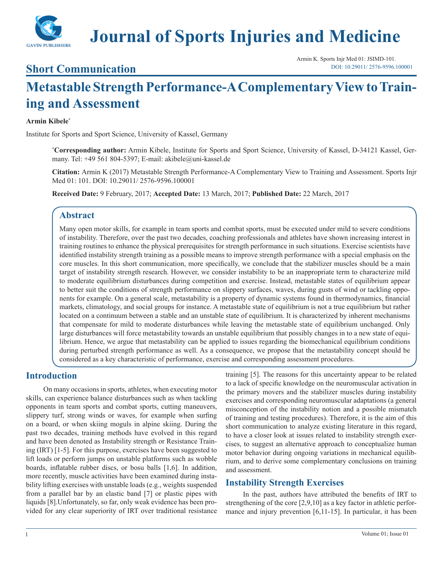

# **Journal of Sports Injuries and Medicine**

### **Short Communication**

Armin K. Sports Injr Med 01: JSIMD-101. [DOI: 10.29011/](http://doi.org/10.29011/ JSIMD-101. 100001) 2576-9596.100001

## **Metastable Strength Performance-A Complementary View to Training and Assessment**

#### **Armin Kibele\***

Institute for Sports and Sport Science, University of Kassel, Germany

**\* Corresponding author:** Armin Kibele, Institute for Sports and Sport Science, University of Kassel, D-34121 Kassel, Germany. Tel: +49 561 804-5397; E-mail: akibele@uni-kassel.de

**Citation:** Armin K (2017) Metastable Strength Performance-A Complementary View to Training and Assessment. Sports Injr Med 01: 101. DOI: 10.29011/ 2576-9596.100001

**Received Date:** 9 February, 2017; **Accepted Date:** 13 March, 2017; **Published Date:** 22 March, 2017

#### **Abstract**

Many open motor skills, for example in team sports and combat sports, must be executed under mild to severe conditions of instability. Therefore, over the past two decades, coaching professionals and athletes have shown increasing interest in training routines to enhance the physical prerequisites for strength performance in such situations. Exercise scientists have identified instability strength training as a possible means to improve strength performance with a special emphasis on the core muscles. In this short communication, more specifically, we conclude that the stabilizer muscles should be a main target of instability strength research. However, we consider instability to be an inappropriate term to characterize mild to moderate equilibrium disturbances during competition and exercise. Instead, metastable states of equilibrium appear to better suit the conditions of strength performance on slippery surfaces, waves, during gusts of wind or tackling opponents for example. On a general scale, metastability is a property of dynamic systems found in thermodynamics, financial markets, climatology, and social groups for instance. A metastable state of equilibrium is not a true equilibrium but rather located on a continuum between a stable and an unstable state of equilibrium. It is characterized by inherent mechanisms that compensate for mild to moderate disturbances while leaving the metastable state of equilibrium unchanged. Only large disturbances will force metastability towards an unstable equilibrium that possibly changes in to a new state of equilibrium. Hence, we argue that metastability can be applied to issues regarding the biomechanical equilibrium conditions during perturbed strength performance as well. As a consequence, we propose that the metastability concept should be considered as a key characteristic of performance, exercise and corresponding assessment procedures.

#### **Introduction**

On many occasions in sports, athletes, when executing motor skills, can experience balance disturbances such as when tackling opponents in team sports and combat sports, cutting maneuvers, slippery turf, strong winds or waves, for example when surfing on a board, or when skiing moguls in alpine skiing. During the past two decades, training methods have evolved in this regard and have been denoted as Instability strength or Resistance Training (IRT) [1-5]. For this purpose, exercises have been suggested to lift loads or perform jumps on unstable platforms such as wobble boards, inflatable rubber discs, or bosu balls [1,6]. In addition, more recently, muscle activities have been examined during instability lifting exercises with unstable loads (e.g., weights suspended from a parallel bar by an elastic band [7] or plastic pipes with liquids [8].Unfortunately, so far, only weak evidence has been provided for any clear superiority of IRT over traditional resistance training [5]. The reasons for this uncertainty appear to be related to a lack of specific knowledge on the neuromuscular activation in the primary movers and the stabilizer muscles during instability exercises and corresponding neuromuscular adaptations (a general misconception of the instability notion and a possible mismatch of training and testing procedures). Therefore, it is the aim of this short communication to analyze existing literature in this regard, to have a closer look at issues related to instability strength exercises, to suggest an alternative approach to conceptualize human motor behavior during ongoing variations in mechanical equilibrium, and to derive some complementary conclusions on training and assessment.

#### **Instability Strength Exercises**

In the past, authors have attributed the benefits of IRT to strengthening of the core [2,9,10] as a key factor in athletic performance and injury prevention [6,11-15]. In particular, it has been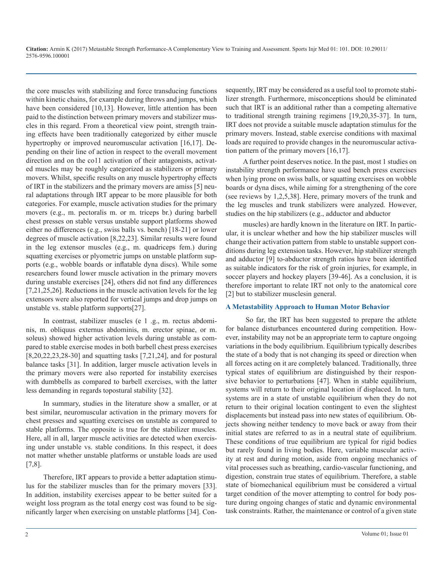**Citation:** Armin K (2017) Metastable Strength Performance-A Complementary View to Training and Assessment. Sports Injr Med 01: 101. DOI: 10.29011/ 2576-9596.100001

the core muscles with stabilizing and force transducing functions within kinetic chains, for example during throws and jumps, which have been considered [10,13]. However, little attention has been paid to the distinction between primary movers and stabilizer muscles in this regard. From a theoretical view point, strength training effects have been traditionally categorized by either muscle hypertrophy or improved neuromuscular activation [16,17]. Depending on their line of action in respect to the overall movement direction and on the co11 activation of their antagonists, activated muscles may be roughly categorized as stabilizers or primary movers. Whilst, specific results on any muscle hypertrophy effects of IRT in the stabilizers and the primary movers are amiss [5] neural adaptations through IRT appear to be more plausible for both categories. For example, muscle activation studies for the primary movers (e.g., m. pectoralis m. or m. triceps br.) during barbell chest presses on stable versus unstable support platforms showed either no differences (e.g., swiss balls vs. bench) [18-21] or lower degrees of muscle activation [8,22,23]. Similar results were found in the leg extensor muscles (e.g., m. quadriceps fem.) during squatting exercises or plyometric jumps on unstable platform supports (e.g., wobble boards or inflatable dyna discs). While some researchers found lower muscle activation in the primary movers during unstable exercises [24], others did not find any differences [7,21,25,26]. Reductions in the muscle activation levels for the leg extensors were also reported for vertical jumps and drop jumps on unstable vs. stable platform supports[27].

In contrast, stabilizer muscles (e 1 .g., m. rectus abdominis, m. obliquus externus abdominis, m. erector spinae, or m. soleus) showed higher activation levels during unstable as compared to stable exercise modes in both barbell chest press exercises [8,20,22,23,28-30] and squatting tasks [7,21,24], and for postural balance tasks [31]. In addition, larger muscle activation levels in the primary movers were also reported for instability exercises with dumbbells as compared to barbell exercises, with the latter less demanding in regards topostural stability [32].

In summary, studies in the literature show a smaller, or at best similar, neuromuscular activation in the primary movers for chest presses and squatting exercises on unstable as compared to stable platforms. The opposite is true for the stabilizer muscles. Here, all in all, larger muscle activities are detected when exercising under unstable vs. stable conditions. In this respect, it does not matter whether unstable platforms or unstable loads are used [7,8].

Therefore, IRT appears to provide a better adaptation stimulus for the stabilizer muscles than for the primary movers [33]. In addition, instability exercises appear to be better suited for a weight loss program as the total energy cost was found to be significantly larger when exercising on unstable platforms [34]. Consequently, IRT may be considered as a useful tool to promote stabilizer strength. Furthermore, misconceptions should be eliminated such that IRT is an additional rather than a competing alternative to traditional strength training regimens [19,20,35-37]. In turn, IRT does not provide a suitable muscle adaptation stimulus for the primary movers. Instead, stable exercise conditions with maximal loads are required to provide changes in the neuromuscular activation pattern of the primary movers [16,17].

A further point deserves notice. In the past, most 1 studies on instability strength performance have used bench press exercises when lying prone on swiss balls, or squatting exercises on wobble boards or dyna discs, while aiming for a strengthening of the core (see reviews by 1,2,5,38]. Here, primary movers of the trunk and the leg muscles and trunk stabilizers were analyzed. However, studies on the hip stabilizers (e.g., adductor and abductor

muscles) are hardly known in the literature on IRT. In particular, it is unclear whether and how the hip stabilizer muscles will change their activation pattern from stable to unstable support conditions during leg extension tasks. However, hip stabilizer strength and adductor [9] to-abductor strength ratios have been identified as suitable indicators for the risk of groin injuries, for example, in soccer players and hockey players [39-46]. As a conclusion, it is therefore important to relate IRT not only to the anatomical core [2] but to stabilizer musclesin general.

#### **A Metastability Approach to Human Motor Behavior**

So far, the IRT has been suggested to prepare the athlete for balance disturbances encountered during competition. However, instability may not be an appropriate term to capture ongoing variations in the body equilibrium. Equilibrium typically describes the state of a body that is not changing its speed or direction when all forces acting on it are completely balanced. Traditionally, three typical states of equilibrium are distinguished by their responsive behavior to perturbations [47]. When in stable equilibrium, systems will return to their original location if displaced. In turn, systems are in a state of unstable equilibrium when they do not return to their original location contingent to even the slightest displacements but instead pass into new states of equilibrium. Objects showing neither tendency to move back or away from their initial states are referred to as in a neutral state of equilibrium. These conditions of true equilibrium are typical for rigid bodies but rarely found in living bodies. Here, variable muscular activity at rest and during motion, aside from ongoing mechanics of vital processes such as breathing, cardio-vascular functioning, and digestion, constrain true states of equilibrium. Therefore, a stable state of biomechanical equilibrium must be considered a virtual target condition of the mover attempting to control for body posture during ongoing changes of static and dynamic environmental task constraints. Rather, the maintenance or control of a given state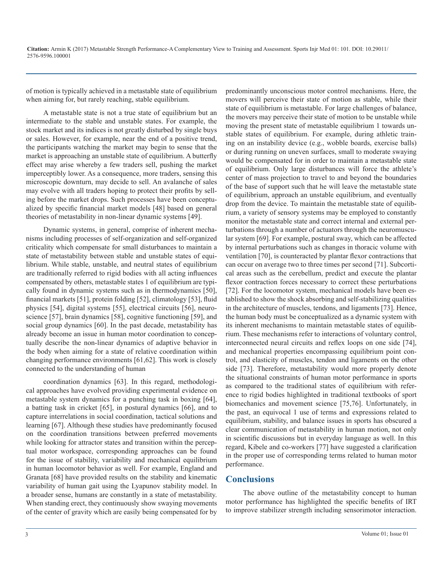of motion is typically achieved in a metastable state of equilibrium when aiming for, but rarely reaching, stable equilibrium.

A metastable state is not a true state of equilibrium but an intermediate to the stable and unstable states. For example, the stock market and its indices is not greatly disturbed by single buys or sales. However, for example, near the end of a positive trend, the participants watching the market may begin to sense that the market is approaching an unstable state of equilibrium. A butterfly effect may arise whereby a few traders sell, pushing the market imperceptibly lower. As a consequence, more traders, sensing this microscopic downturn, may decide to sell. An avalanche of sales may evolve with all traders hoping to protect their profits by selling before the market drops. Such processes have been conceptualized by specific financial market models [48] based on general theories of metastability in non-linear dynamic systems [49].

Dynamic systems, in general, comprise of inherent mechanisms including processes of self-organization and self-organized criticality which compensate for small disturbances to maintain a state of metastability between stable and unstable states of equilibrium. While stable, unstable, and neutral states of equilibrium are traditionally referred to rigid bodies with all acting influences compensated by others, metastable states 1 of equilibrium are typically found in dynamic systems such as in thermodynamics [50], financial markets [51], protein folding [52], climatology [53], fluid physics [54], digital systems [55], electrical circuits [56], neuroscience [57], brain dynamics [58], cognitive functioning [59], and social group dynamics [60]. In the past decade, metastability has already become an issue in human motor coordination to conceptually describe the non-linear dynamics of adaptive behavior in the body when aiming for a state of relative coordination within changing performance environments [61,62]. This work is closely connected to the understanding of human

coordination dynamics [63]. In this regard, methodological approaches have evolved providing experimental evidence on metastable system dynamics for a punching task in boxing [64], a batting task in cricket [65], in postural dynamics [66], and to capture interrelations in social coordination, tactical solutions and learning [67]. Although these studies have predominantly focused on the coordination transitions between preferred movements while looking for attractor states and transition within the perceptual motor workspace, corresponding approaches can be found for the issue of stability, variability and mechanical equilibrium in human locomotor behavior as well. For example, England and Granata [68] have provided results on the stability and kinematic variability of human gait using the Lyapunov stability model. In a broader sense, humans are constantly in a state of metastability. When standing erect, they continuously show swaying movements of the center of gravity which are easily being compensated for by predominantly unconscious motor control mechanisms. Here, the movers will perceive their state of motion as stable, while their state of equilibrium is metastable. For large challenges of balance, the movers may perceive their state of motion to be unstable while moving the present state of metastable equilibrium 1 towards unstable states of equilibrium. For example, during athletic training on an instability device (e.g., wobble boards, exercise balls) or during running on uneven surfaces, small to moderate swaying would be compensated for in order to maintain a metastable state of equilibrium. Only large disturbances will force the athlete's center of mass projection to travel to and beyond the boundaries of the base of support such that he will leave the metastable state of equilibrium, approach an unstable equilibrium, and eventually drop from the device. To maintain the metastable state of equilibrium, a variety of sensory systems may be employed to constantly monitor the metastable state and correct internal and external perturbations through a number of actuators through the neuromuscular system [69]. For example, postural sway, which can be affected by internal perturbations such as changes in thoracic volume with ventilation [70], is counteracted by plantar flexor contractions that can occur on average two to three times per second [71]. Subcortical areas such as the cerebellum, predict and execute the plantar flexor contraction forces necessary to correct these perturbations [72]. For the locomotor system, mechanical models have been established to show the shock absorbing and self-stabilizing qualities in the architecture of muscles, tendons, and ligaments [73]. Hence, the human body must be conceptualized as a dynamic system with its inherent mechanisms to maintain metastable states of equilibrium. These mechanisms refer to interactions of voluntary control, interconnected neural circuits and reflex loops on one side [74], and mechanical properties encompassing equilibrium point control, and elasticity of muscles, tendon and ligaments on the other side [73]. Therefore, metastability would more properly denote the situational constraints of human motor performance in sports as compared to the traditional states of equilibrium with reference to rigid bodies highlighted in traditional textbooks of sport biomechanics and movement science [75,76]. Unfortunately, in the past, an equivocal 1 use of terms and expressions related to equilibrium, stability, and balance issues in sports has obscured a clear communication of metastability in human motion, not only in scientific discussions but in everyday language as well. In this regard, Kibele and co-workers [77] have suggested a clarification in the proper use of corresponding terms related to human motor performance.

#### **Conclusions**

The above outline of the metastability concept to human motor performance has highlighted the specific benefits of IRT to improve stabilizer strength including sensorimotor interaction.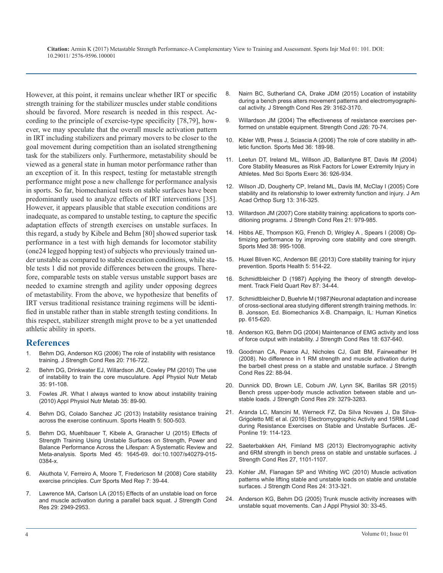**Citation:** Armin K (2017) Metastable Strength Performance-A Complementary View to Training and Assessment. Sports Injr Med 01: 101. DOI: 10.29011/ 2576-9596.100001

However, at this point, it remains unclear whether IRT or specific strength training for the stabilizer muscles under stable conditions should be favored. More research is needed in this respect. According to the principle of exercise-type specificity [78,79], however, we may speculate that the overall muscle activation pattern in IRT including stabilizers and primary movers to be closer to the goal movement during competition than an isolated strengthening task for the stabilizers only. Furthermore, metastability should be viewed as a general state in human motor performance rather than an exception of it. In this respect, testing for metastable strength performance might pose a new challenge for performance analysis in sports. So far, biomechanical tests on stable surfaces have been predominantly used to analyze effects of IRT interventions [35]. However, it appears plausible that stable execution conditions are inadequate, as compared to unstable testing, to capture the specific adaptation effects of strength exercises on unstable surfaces. In this regard, a study by Kibele and Behm [80] showed superior task performance in a test with high demands for locomotor stability (one24 legged hopping test) of subjects who previously trained under unstable as compared to stable execution conditions, while stable tests 1 did not provide differences between the groups. Therefore, comparable tests on stable versus unstable support bases are needed to examine strength and agility under opposing degrees of metastability. From the above, we hypothesize that benefits of IRT versus traditional resistance training regimens will be identified in unstable rather than in stable strength testing conditions. In this respect, stabilizer strength might prove to be a yet unattended athletic ability in sports.

#### **References**

- Behm DG, Anderson KG (2006) The role of instability with resistance training. J Strength Cond Res 20: 716-722.
- [Behm DG, Drinkwater EJ, Willardson JM, Cowley PM \(2010\) The use](https://www.ncbi.nlm.nih.gov/pubmed/20130672) of instability to train the core musculature. Appl Physiol Nutr Metab [35: 91-108.](https://www.ncbi.nlm.nih.gov/pubmed/20130672)
- 3. [Fowles JR. What I always wanted to know about instability training](https://www.ncbi.nlm.nih.gov/pubmed/20130671)  (2010) Appl Physiol Nutr Metab 35: 89-90.
- 4. [Behm DG, Colado Sanchez JC \(2013\) Instability resistance training](https://www.ncbi.nlm.nih.gov/pmc/articles/PMC3806173/)  across the exercise continuum. Sports Health 5: 500-503.
- 5. [Behm DG, Muehlbauer T, Kibele A, Granacher U \(2015\) Effects of](https://www.ncbi.nlm.nih.gov/pubmed/26359066) Strength Training Using Unstable Surfaces on Strength, Power and [Balance Performance Across the Lifespan: A Systematic Review and](https://www.ncbi.nlm.nih.gov/pubmed/26359066)  [Meta-analysis. Sports Med 45: 1645-69. doi:10.1007/s40279-015-](https://www.ncbi.nlm.nih.gov/pubmed/26359066) [0384-x.](https://www.ncbi.nlm.nih.gov/pubmed/26359066)
- 6. [Akuthota V, Ferreiro A, Moore T, Fredericson M \(2008\) Core stability](https://www.ncbi.nlm.nih.gov/pubmed/18296944)  exercise principles. Curr Sports Med Rep 7: 39-44.
- 7. [Lawrence MA, Carlson LA \(2015\) Effects of an unstable load on force](https://www.ncbi.nlm.nih.gov/pubmed/25844869)  and muscle activation during a parallel back squat. J Strength Cond [Res 29: 2949-2953.](https://www.ncbi.nlm.nih.gov/pubmed/25844869)
- 8. [Nairn BC, Sutherland CA, Drake JDM \(2015\) Location of instability](https://www.ncbi.nlm.nih.gov/pubmed/25932979)  during a bench press alters movement patterns and electromyographi[cal activity. J Strength Cond Res 29: 3162-3170.](https://www.ncbi.nlm.nih.gov/pubmed/25932979)
- 9. [Willardson JM \(2004\) The effectiveness of resistance exercises per](https://www.researchgate.net/publication/232184829_The_Effectiveness_of_Resistance_Exercises_Performed_on_Unstable_Equipment)formed on unstable equipment. Strength Cond J26: 70-74.
- 10. [Kibler WB, Press J, Sciascia A \(2006\) The role of core stability in ath](https://www.ncbi.nlm.nih.gov/pubmed/16526831)letic function. Sports Med 36: 189-98.
- 11. [Leetun DT, Ireland ML, Willson JD, Ballantyne BT, Davis IM \(2004\)](https://www.ncbi.nlm.nih.gov/pubmed/15179160)  Core Stability Measures as Risk Factors for Lower Extremity Injury in [Athletes. Med Sci Sports Exerc 36: 926-934.](https://www.ncbi.nlm.nih.gov/pubmed/15179160)
- 12. [Wilson JD, Dougherty CP, Ireland ML, Davis IM, McClay I \(2005\) Core](https://www.ncbi.nlm.nih.gov/pubmed/16148357)  stability and its relationship to lower extremity function and injury. J A[m](https://www.ncbi.nlm.nih.gov/pubmed/16148357)  [Acad Orthop Surg 13: 316-325.](https://www.ncbi.nlm.nih.gov/pubmed/16148357)
- 13. [Willardson JM \(2007\) Core stability training: applications to sports con](https://www.ncbi.nlm.nih.gov/pubmed/17685697)ditioning programs. J Strength Cond Res 21: 979-985.
- 14. [Hibbs AE, Thompson KG, French D, Wrigley A , Spears I \(2008\) Op](https://www.ncbi.nlm.nih.gov/pubmed/19026017)timizing performance by improving core stability and core strength. [Sports Med 38: 995-1008.](https://www.ncbi.nlm.nih.gov/pubmed/19026017)
- 15. [Huxel Bliven KC, Anderson BE \(2013\) Core stability training for injury](https://www.ncbi.nlm.nih.gov/pmc/articles/PMC3806175/)  prevention. Sports Health 5: 514-22.
- 16. Schmidtbleicher D (1987) Applying the theory of strength development. Track Field Quart Rev 87: 34-44.
- 17. Schmidtbleicher D, Buehrle M (1987)Neuronal adaptation and increase of cross-sectional area studying different strength training methods. In: B. Jonsson, Ed. Biomechanics X-B. Champaign, IL: Human Kinetics pp. 615-620.
- 18. [Anderson KG, Behm DG \(2004\) Maintenance of EMG activity and loss](https://www.ncbi.nlm.nih.gov/pubmed/15320684)  of force output with instability. J Strength Cond Res 18: 637-640.
- 19. [Goodman CA, Pearce AJ, Nicholes CJ, Gatt BM, Fairweather IH](https://www.ncbi.nlm.nih.gov/pubmed/18296960) [\(2008\). No difference in 1 RM strength and muscle activation during](https://www.ncbi.nlm.nih.gov/pubmed/16937988) [the barbell chest press on a stable and unstable surface. J Strength](https://www.ncbi.nlm.nih.gov/pubmed/18296960) [Cond Res 22: 88-94.](https://www.ncbi.nlm.nih.gov/pubmed/18296960)
- 20. [Dunnick DD, Brown LE, Coburn JW, Lynn SK, Barillas SR \(2015\)](https://www.ncbi.nlm.nih.gov/pubmed/26540024)  Bench press upper-body muscle activation between stable and un[stable loads. J Strength Cond Res 29: 3279-3283](https://www.ncbi.nlm.nih.gov/pubmed/26540024)[.](https://www.ncbi.nlm.nih.gov/pubmed/20130671)
- 21. [Aranda LC, Mancini M, Werneck FZ, Da Silva Novaes J, Da Silva-](https://www.ncbi.nlm.nih.gov/pubmed/26540024)[Grigoletto ME et al. \(2016\) Electromyographic Activity and 15RM Load](https://www.ncbi.nlm.nih.gov/pmc/articles/PMC3806173/)  [during Resistance Exercises on Stable and Unstable Surfaces. JE-](https://www.ncbi.nlm.nih.gov/pubmed/26540024)[Ponline 19: 114-123.](https://www.ncbi.nlm.nih.gov/pubmed/26540024)
- 22. [Saeterbakken AH, Fimland MS \(2013\) Electromyographic activity](https://www.ncbi.nlm.nih.gov/pubmed/22692120) and 6RM strength in bench press on stable and unstable surfaces. J [Strength Cond Res 27, 1101-1107.](https://www.ncbi.nlm.nih.gov/pubmed/22692120)
- 23. [Kohler JM, Flanagan SP and Whiting WC \(2010\) Muscle activation](https://www.ncbi.nlm.nih.gov/pubmed/20072068)  [patterns while lifting stable and unstable loads on stable and unstable](https://www.ncbi.nlm.nih.gov/pubmed/18296944)  [surfaces. J Strength Cond Res 24: 313-321.](https://www.ncbi.nlm.nih.gov/pubmed/20072068)
- 24. [Anderson KG, Behm DG \(2005\) Trunk muscle activity increases with](https://www.ncbi.nlm.nih.gov/pubmed/15855681) unstable squat movements. Can J Appl Physiol 30: 33-45.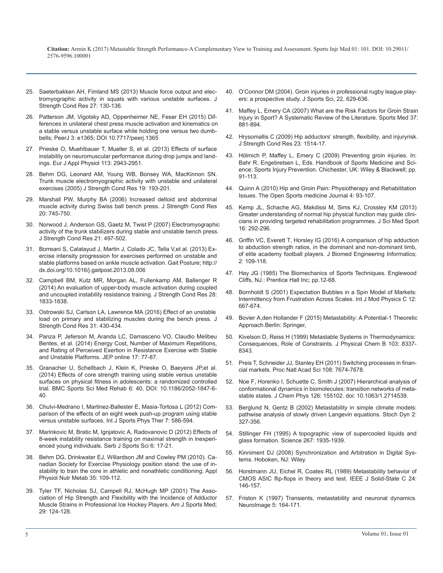**Citation:** Armin K (2017) Metastable Strength Performance-A Complementary View to Training and Assessment. Sports Injr Med 01: 101. DOI: 10.29011/ 2576-9596.100001

- 25. [Saeterbakken AH, Fimland MS \(2013\) Muscle force output and elec](https://www.ncbi.nlm.nih.gov/pubmed/22450254)[tromyographic activity in squats with various unstable surfaces. J](https://www.ncbi.nlm.nih.gov/pubmed/22450254) [Strength Cond Res 27: 130-136.](https://www.ncbi.nlm.nih.gov/pubmed/22450254)
- 26. [Patterson JM, Vigotsky AD, Oppenheimer NE, Feser EH \(2015\) Dif](https://www.ncbi.nlm.nih.gov/pubmed/26528421)[ferences in unilateral chest press muscle activation and kinematics on](https://www.ncbi.nlm.nih.gov/pubmed/26528421)  [a stable versus unstable surface while holding one versus two dumb](https://www.ncbi.nlm.nih.gov/pubmed/26528421)[bells; PeerJ 3: e1365; DOI 10.7717/peerj.1365](https://www.ncbi.nlm.nih.gov/pubmed/26528421)
- 27. [Prieske O, Muehlbauer T, Mueller S, et al. \(2013\) Effects of surface](https://www.ncbi.nlm.nih.gov/labs/articles/24072033/)  [instability on neuromuscular performance during drop jumps and land](https://www.ncbi.nlm.nih.gov/labs/articles/24072033/)[ings. Eur J Appl Physiol 113: 2943-2951.](https://www.ncbi.nlm.nih.gov/labs/articles/24072033/)
- 28. [Behm DG, Leonard AM, Young WB, Bonsey WA, MacKinnon SN.](https://www.ncbi.nlm.nih.gov/pubmed/15705034)  [Trunk muscle electromyographic activity with unstable and unilateral](https://www.ncbi.nlm.nih.gov/pubmed/15705034)  [exercises \(2005\) J Strength Cond Res 19: 193-201.](https://www.ncbi.nlm.nih.gov/pubmed/15705034)
- 29. [Marshall PW, Murphy BA \(2006\) Increased deltoid and abdominal](https://www.ncbi.nlm.nih.gov/pubmed/17194238)  [muscle activity during Swiss ball bench press. J Strength Cond Res](https://www.ncbi.nlm.nih.gov/pubmed/17194238)  [20: 745-750.](https://www.ncbi.nlm.nih.gov/pubmed/17194238)
- 30. [Norwood J, Anderson GS, Gaetz M, Twist P \(2007\) Electromyographic](https://www.ncbi.nlm.nih.gov/pubmed/17530936)  [activity of the trunk stabilizers during stable and unstable bench press](https://www.ncbi.nlm.nih.gov/pubmed/17530936). [J Strength Cond Res 21: 497-502.](https://www.ncbi.nlm.nih.gov/pubmed/17530936)
- 31. Borreani S, Calatayud J, Martin J, Colado JC, Tella V,et al. (2013) Exercise intensity progression for exercises performed on unstable and stable platforms based on ankle muscle activation. Gait Posture; http:// dx.doi.org/10.1016/j.gaitpost.2013.08.006
- 32. Campbell BM, Kutz MR, Morgan AL, Fullenkamp AM, Ballenger R (2014) An evaluation of upper-body muscle activation during coupled and uncoupled instability resistance training. J Strength Cond Res 28: 1833-1838.
- 33. [Ostrowski SJ, Carlson LA, Lawrence MA \(2016\) Effect of an unstable](https://www.ncbi.nlm.nih.gov/labs/articles/27564994/)  [load on primary and stabilizing muscles during the bench press. J](https://www.ncbi.nlm.nih.gov/labs/articles/27564994/)  [Strength Cond Res 31: 430-434](https://www.ncbi.nlm.nih.gov/labs/articles/27564994/)[.](http://www.springer.com/gp/book/9783319247755)
- 34. [Panza P, Jeferson M, Aranda LC, Damasceno VO, Claudio Melibeu](https://www.researchgate.net/publication/269095819_Energy_Cost_Number_of_Maximum_Repetitions_and_Rating_of_Perceived_Exertion_in_Resistance_Exercise_with_Stable_and_Unstable_Platforms)  [Bentes, et al. \(2014\) Energy Cost, Number of Maximum Repetitions,](https://www.researchgate.net/publication/269095819_Energy_Cost_Number_of_Maximum_Repetitions_and_Rating_of_Perceived_Exertion_in_Resistance_Exercise_with_Stable_and_Unstable_Platforms) [and Rating of Perceived Exertion in Resistance Exercise with Stable](https://www.researchgate.net/publication/269095819_Energy_Cost_Number_of_Maximum_Repetitions_and_Rating_of_Perceived_Exertion_in_Resistance_Exercise_with_Stable_and_Unstable_Platforms)  [and Unstable Platforms. JEP online 17: 77-87.](https://www.researchgate.net/publication/269095819_Energy_Cost_Number_of_Maximum_Repetitions_and_Rating_of_Perceived_Exertion_in_Resistance_Exercise_with_Stable_and_Unstable_Platforms)
- 35. [Granacher U, Schellbach J, Klein K, Prieske O, Baeyens JP,et al.](https://www.ncbi.nlm.nih.gov/pmc/articles/PMC4290805/) [\(2014\) Effects of core strength training using stable versus unstable](https://www.ncbi.nlm.nih.gov/pmc/articles/PMC4290805/)  [surfaces on physical fitness in adolescents: a randomized controlled](https://www.ncbi.nlm.nih.gov/pmc/articles/PMC4290805/)  [trial. BMC Sports Sci Med Rehab 6: 40, DOI: 10.1186/2052-1847-6-](https://www.ncbi.nlm.nih.gov/pmc/articles/PMC4290805/) [40.](https://www.ncbi.nlm.nih.gov/pmc/articles/PMC4290805/)
- 36. [Chulvi-Medrano I, Martinez-Ballester E, Masia-Tortosa L \(2012\) Com](https://www.ncbi.nlm.nih.gov/pmc/articles/PMC3537455/)[parison of the effects of an eight week push-up program using stable](https://www.ncbi.nlm.nih.gov/pmc/articles/PMC3537455/) [versus unstable surfaces. Int J Sports Phys Ther 7: 586-594.](https://www.ncbi.nlm.nih.gov/pmc/articles/PMC3537455/)
- 37. [Marinkovic M, Bratic M, Ignjatovic A, Radovanovic D \(2012\) Effects of](http://sjss-sportsacademy.edu.rs/archive/details/effects-of-8-week-instability-resistance-training-on-maximal-strength-in-inexperienced-young-individuals-334.html)  [8-week instability resistance training on maximal strength in inexperi](http://sjss-sportsacademy.edu.rs/archive/details/effects-of-8-week-instability-resistance-training-on-maximal-strength-in-inexperienced-young-individuals-334.html)[enced young individuals. Serb J Sports Sci 6: 17-21.](http://sjss-sportsacademy.edu.rs/archive/details/effects-of-8-week-instability-resistance-training-on-maximal-strength-in-inexperienced-young-individuals-334.html)
- 38. [Behm DG, Drinkwater EJ, Willardson JM and Cowley PM \(2010\). Ca](https://www.ncbi.nlm.nih.gov/pubmed/20130673)[nadian Society for Exercise Physiology position stand: the use of in](https://www.ncbi.nlm.nih.gov/pubmed/20130673)[stability to train the core in athletic and nonathletic conditioning. Appl](https://www.ncbi.nlm.nih.gov/pubmed/20130673)  [Physiol Nutr Metab 35: 109-112.](https://www.ncbi.nlm.nih.gov/pubmed/20130673)
- 39. [Tyler TF, Nicholas SJ, Campell RJ, McHugh MP \(2001\) The Asso](https://www.ncbi.nlm.nih.gov/pubmed/11292035)[ciation of Hip Strength and Flexibility with the Incidence of Adductor](https://www.ncbi.nlm.nih.gov/pubmed/11292035)  [Muscle Strains in Professional Ice Hockey Players. Am J Sports Med;](https://www.ncbi.nlm.nih.gov/pubmed/11292035) [29: 124-128.](https://www.ncbi.nlm.nih.gov/pubmed/11292035)
- 40. [O'Connor DM \(2004\). Groin injuries in professional rugby league play](https://www.ncbi.nlm.nih.gov/pubmed/15370493)ers: a prospective study. J Sports Sci, 22, 629-636.
- 41. [Maffey L, Emery CA \(2007\) What are the Risk Factors for Groin Strain](https://www.ncbi.nlm.nih.gov/pubmed/17887812)  Injury in Sport? A Systematic Review of the Literature. Sports Med 37: [881-894.](https://www.ncbi.nlm.nih.gov/pubmed/17887812)
- 42. [Hrysomallis C \(2009\) Hip adductors' strength, flexibility, and injuryrisk.](https://www.ncbi.nlm.nih.gov/pubmed/19620912) [J Strength Cond Res 23: 1514-17.](https://www.ncbi.nlm.nih.gov/pubmed/19620912)
- 43. Hölmich P, Maffey L, Emery C (2009) Preventing groin injuries. In: Bahr R, Engebretsen L, Eds. Handbook of Sports Medicine and Science: Sports Injury Prevention. Chichester, UK: Wiley & Blackwell; pp. 91-113.
- 44. [Quinn A \(2010\) Hip and Groin Pain: Physiotherapy and Rehabilitation](https://benthamopen.com/ABSTRACT/TOSMJ-4-93)  [Issues. The Open Sports medicine Journal 4: 93-107.](https://benthamopen.com/ABSTRACT/TOSMJ-4-93)
- 45. [Kemp JL, Schache AG, Makdissi M, Sims KJ, Crossley KM \(2013\)](https://www.ncbi.nlm.nih.gov/pubmed/23266242)  [Greater understanding of normal hip physical function may guide clini](https://www.ncbi.nlm.nih.gov/pubmed/23266242)[cians in providing targeted rehabilitation programmes. J Sci Med Spor](https://www.ncbi.nlm.nih.gov/pubmed/23266242)t [16: 292-296.](https://www.ncbi.nlm.nih.gov/pubmed/23266242)
- 46. [Griffin VC, Everett T, Horsley IG \(2016\) A comparison of hip adduction](http://www.sciedupress.com/journal/index.php/jbei/article/view/7798)  [to abduction strength ratios, in the dominant and non-dominant limb,](http://www.sciedupress.com/journal/index.php/jbei/article/view/7798)  [of elite academy football players. J Biomed Engineering Informatics;](http://www.sciedupress.com/journal/index.php/jbei/article/view/7798)  [2: 109-118.](http://www.sciedupress.com/journal/index.php/jbei/article/view/7798)
- 47. Hay JG (1985) The Biomechanics of Sports Techniques. Englewood Cliffs, NJ.: Prentice Hall Inc; pp.12-68.
- 48. [Bornholdt S \(2001\) Expectation Bubbles in a Spin Model of Markets:](https://arxiv.org/abs/cond-mat/0105224)  [Intermittency from Frustration Across Scales. Int J Mod Physics C 12:](https://arxiv.org/abs/cond-mat/0105224)  [667-674.](https://arxiv.org/abs/cond-mat/0105224)
- 49. [Bovier A,den Hollander F \(2015\) Metastability: A Potential-1 Theoretic](http://www.springer.com/gp/book/9783319247755) Approach.Berlin: Springer,
- 50. [Kivelson D, Reiss H \(1999\) Metastable Systems in Thermodynamics:](http://pubs.acs.org/doi/abs/10.1021/jp990960b)  Consequences, Role of Constraints. J Physical Chem B 103: 8337- [8343.](http://pubs.acs.org/doi/abs/10.1021/jp990960b)
- 51. [Preis T, Schneider JJ, Stanley EH \(2011\) Switching processes in finan](http://www.pnas.org/content/108/19/7674.full)cial markets. Proc Natl Acad Sci 108: 7674-7678.
- 52. [Noe F, Horenko I, Schuette C, Smith J \(2007\) Hierarchical analysis of](https://www.ncbi.nlm.nih.gov/pubmed/17461666)  [conformational dynamics in biomolecules: transition networks of meta](https://www.ncbi.nlm.nih.gov/pubmed/17461666)[stable states. J Chem Phys 126: 155102. doi: 10.1063/1.2714539.](https://www.ncbi.nlm.nih.gov/pubmed/17461666)
- 53. [Berglund N, Gentz B \(2002\) Metastability in simple climate models:](http://www.worldscientific.com/doi/abs/10.1142/S0219493702000455) pathwise analysis of slowly driven Langevin equations. Stoch Dyn 2: [327-356.](http://www.worldscientific.com/doi/abs/10.1142/S0219493702000455)
- 54. [Stillinger FH \(1995\) A topographic view of supercooled liquids and](https://www.lehigh.edu/imi/teched/Relax2010/papers/Stillinger_Science_1995.pdf)  glass formation. Science 267: 1935-1939.
- 55. [Kinniment DJ \(2008\) Synchronization and Arbitration in Digital Sys](http://as.wiley.com/WileyCDA/WileyTitle/productCd-047051082X.html)tems. Hoboken, NJ: Wiley.
- 56. [Horstmann JU, Eichel R, Coates RL \(1989\) Metastability behavior of](http://ieeexplore.ieee.org/document/16314/)  [CMOS ASIC flip-flops in theory and test. IEEE J Solid-State C 24:](http://ieeexplore.ieee.org/document/16314/)  [146-157.](http://ieeexplore.ieee.org/document/16314/)
- 57. [Friston K \(1997\) Transients, metastability and neuronal dynamics.](https://www.ncbi.nlm.nih.gov/pubmed/9345546)  NeuroImage 5: 164-171.